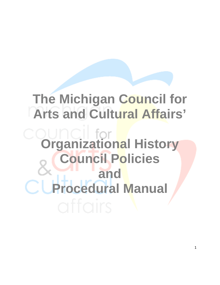# **The Michigan Council for Arts and Cultural Affairs'**

**Organizational History Council Policies and Procedural Manual**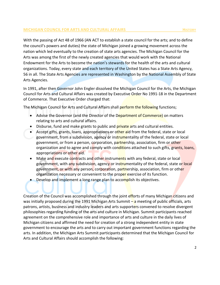#### **MICHIGAN COUNCIL FOR ARTS AND CULTURAL AFFAIRS <b>HISTORY HISTORY**

With the passing of Act 48 of 1966 (AN ACT to establish a state council for the arts; and to define the council's powers and duties) the state of Michigan joined a growing movement across the nation which led eventually to the creation of state arts agencies. The Michigan Council for the Arts was among the first of the newly created agencies that would work with the National Endowment for the Arts to become the nation's stewards for the health of the arts and cultural organizations. Today, every state and each territory of the United States has a State Arts Agency, 56 in all. The State Arts Agencies are represented in Washington by the National Assembly of State Arts Agencies.

In 1991, after then Governor John Engler dissolved the Michigan Council for the Arts, the Michigan Council for Arts and Cultural Affairs was created by Executive Order No 1991-18 in the Department of Commerce. That Executive Order charged that:

The Michigan Council for Arts and Cultural Affairs shall perform the following functions;

- Advise the Governor (and the Director of the Department of Commerce) on matters relating to arts and cultural affairs.
- Disburse, fund and make grants to public and **private arts and cultural entities.**
- Accept gifts, grants, loans, appropriations or other aid from the federal, state or local government, from a subdivision, agency or instrumentality of the federal, state or local government, or from a person, corporation, partnership, association, firm or other organization and to agree and comply with conditions attached to such gifts, grants, loans, appropriations or other aid.
- Make and execute contracts and other instruments with any federal, state or local government, with any subdivision, agency or instrumentality of the federal, state or local government, or with any person, corporation, partnership, association, firm or other organization necessary or convenient to the proper exercise of its function.
- Develop and implement a long range plan to accomplish its objectives.

Creation of the Council was accomplished through the joint efforts of many Michigan citizens and was initially proposed during the 1991 Michigan Arts Summit – a meeting of public officials, arts patrons, artists, business and industry leaders and arts supporters convened to resolve divergent philosophies regarding funding of the arts and culture in Michigan. Summit participants reached agreement on the comprehensive role and importance of arts and culture in the daily lives of Michigan citizens and affirmed the need for creation of a strong independent entity in state government to encourage the arts and to carry out important government functions regarding the arts. In addition, the Michigan Arts Summit participants determined that the Michigan Council for Arts and Cultural Affairs should accomplish the following: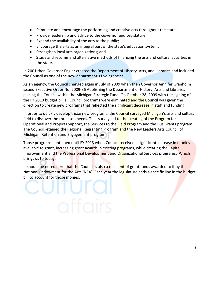- Stimulate and encourage the performing and creative arts throughout the state;
- Provide leadership and advice to the Governor and Legislature
- Expand the availability of the arts to the public;
- Encourage the arts as an integral part of the state's education system;
- Strengthen local arts organizations; and
- Study and recommend alternative methods of financing the arts and cultural activities in the state.

In 2001 then Governor Engler created the Department of History, Arts, and Libraries and included the Council as one of the new department's five agencies.

As an agency, the Council changed again in July of 2009 when then Governor Jennifer Granholm issued Executive Order No. 2009-36 Abolishing the Department of History, Arts and Libraries placing the Council within the Michigan Strategic Fund. On October 28, 2009 with the signing of the FY 2010 budget bill all Council programs were eliminated and the Council was given the direction to create new programs that reflected the significant decrease in staff and funding.

In order to quickly develop those new programs, the Council surveyed Michigan's arts and cultural field to discover the three top needs. That survey led to the creating of the Program for Operational and Projects Support, the Services to the Field Program and the Bus Grants program. The Council retained the Regional Regranting Program and the New Leaders Arts Council of Michigan, Retention and Engagement program.

Those programs continued until FY 2013 when Council received a significant increase in monies available to grant, increasing grant awards in existing programs, while creating the Capital Improvement and the Professional Development and Organizational Services programs. Which brings us to today.

It should be noted here that the Council is also a recipient of grant funds awarded to it by the National Endowment for the Arts (NEA). Each year the legislature adds a specific line in the budget bill to account for those monies.

TUIC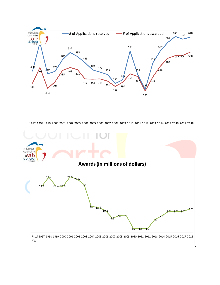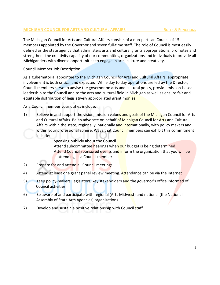# **MICHIGAN COUNCIL FOR ARTS AND CULTURAL AFFAIRS RESIDENT ROLES & FUNCTIONS**

The Michigan Council for Arts and Cultural Affairs consists of a non-partisan Council of 15 members appointed by the Governor and seven full-time staff. The role of Council is most easily defined as the state agency that administers arts and cultural grants appropriations, promotes and strengthens the creativity capacity of our communities, organizations and individuals to provide all Michiganders with diverse opportunities to engage in arts, culture and creativity.

# Council Member Job Description

As a gubernatorial appointee to the Michigan Council for Arts and Cultural Affairs, appropriate involvement is both critical and expected. While day to day operations are led by the Director, Council members serve to advise the governor on arts and cultural policy, provide mission-based leadership to the Council and to the arts and cultural field in Michigan as well as ensure fair and equitable distribution of legislatively appropriated grant monies.

As a Council member your duties include:

1) Believe in and support the vision, mission values and goals of the Michigan Council for Arts and Cultural Affairs. Be an advocate on behalf of Michigan Council for Arts and Cultural Affairs within the state, regionally, nationally and internationally, with policy makers and within your professional sphere. Ways that Council members can exhibit this commitment include:

> Speaking publicly about the Council Attend subcommittee hearings when our budget is being determined Attend Council sponsored events and inform the organization that you will be attending as a Council member

- 2) Prepare for and attend all Council meetings.
- 4) Attend at least one grant panel review meeting. Attendance can be via the internet
- 5) Keep policy-makers, legislators, key stakeholders and the governor's office informed of Council activities
- 6) Be aware of and participate with regional (Arts Midwest) and national (the National Assembly of State Arts Agencies) organizations.
- 7) Develop and sustain a positive relationship with Council staff.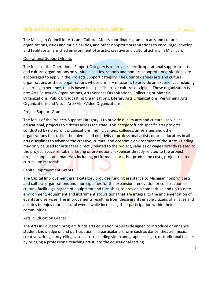The Michigan Council for Arts and Cultural Affairs coordinates grants to arts and culture organizations, cities and municipalities, and other nonprofit organizations to encourage, develop and facilitate an enriched environment of artistic, creative and cultural activity in Michigan.

#### Operational Support Grants

The focus of the Operational Support Category is to provide specific operational support to arts and cultural organizations only. Municipalities, schools and non-arts nonprofit organizations are encouraged to apply in the Projects Support category. The Council defines arts and cultural organizations as those organizations whose primary mission is to provide an experience, including a learning experience, that is based in a specific arts or cultural discipline. These organization types are: Arts Education Organizations, Arts Services Organizations, Collecting or Material Organizations, Public Broadcasting Organizations, Literary Arts Organizations, Performing Arts Organizations and Visual Arts/Film/Video Organizations.

#### Project Support Grants

The focus of the Projects Support Category is to provide quality arts and cultural, as well as educational, projects to citizens across the state. This category funds specific arts projects conducted by non-profit organizations, municipalities, colleges/universities and other organizations that utilize the talents and creativity of **professional artists or arts educators in all** arts disciplines to advance the creative, cultural and economic environment of the state. Funding may only be used for artist fees directly related to the project, salaries or wages directly related to the project, space rental, marketing or promotional expenses directly related to the project, project supplies and materials including performance or other production costs, project-related curriculum materials.

#### Capital Improvement Grants

The Capital Improvement grant category provides funding assistance to Michigan nonprofit arts and cultural organizations and municipalities for the expansion, renovation or construction of cultural facilities; upgrade of equipment and furnishing to provide a competitive and up-to-date environment; equipment and instrument acquisitions that are integral to the implementation of events and services. The improvements resulting from these grants enable citizens of all ages and abilities to enjoy more cultural events while increasing their participation within their communities.

#### Arts in Education Grants

The Arts in Education program funds arts education projects designed to introduce or enhance student knowledge of and participation in a particular art form such as dance, theatre, music, creative writing, storytelling, visual arts (including video and graphic design), or traditional folk arts by bringing a professional teaching artist into the educational setting.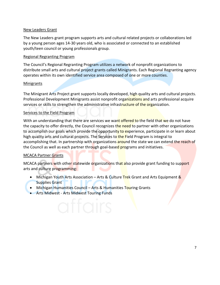# New Leaders Grant

The New Leaders grant program supports arts and cultural related projects or collaborations led by a young person ages 14-30 years old, who is associated or connected to an established youth/teen council or young professionals group.

#### Regional Regranting Program

The Council's Regional Regranting Program utilizes a network of nonprofit organizations to distribute small arts and cultural project grants called Minigrants. Each Regional Regranting agency operates within its own identified service area composed of one or more counties.

#### Minigrants

The Minigrant Arts Project grant supports locally developed, high quality arts and cultural projects. Professional Development Minigrants assist nonprofit organizations and arts professional acquire services or skills to strengthen the administrative infrastructure of the organization.

# Services to the Field Program

With an understanding that there are services we want offered to the field that we do not have the capacity to offer directly, the Council recognizes the need to partner with other organizations to accomplish our goals which provide the opportunity to experience, participate in or learn about high quality arts and cultural projects. The Services to the Field Program is integral to accomplishing that. In partnership with organizations around the state we can extend the reach of the Council as well as each partner through goal-based programs and initiatives.

# MCACA Partner Grants

MCACA partners with other statewide organizations that also provide grant funding to support arts and culture programming:

- Michigan Youth Arts Association Arts & Culture Trek Grant and Arts Equipment & Supplies Grant
- Michigan Humanities Council Arts & Humanities Touring Grants
- Arts Midwest Arts Midwest Touring Funds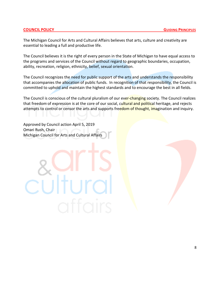The Michigan Council for Arts and Cultural Affairs believes that arts, culture and creativity are essential to leading a full and productive life.

The Council believes it is the right of every person in the State of Michigan to have equal access to the programs and services of the Council without regard to geographic boundaries, occupation, ability, recreation, religion, ethnicity, belief, sexual orientation.

The Council recognizes the need for public support of the arts and understands the responsibility that accompanies the allocation of public funds. In recognition of that responsibility, the Council is committed to uphold and maintain the highest standards and to encourage the best in all fields.

The Council is conscious of the cultural pluralism of our ever-changing society. The Council realizes that freedom of expression is at the core of our social, cultural and political heritage, and rejects attempts to control or censor the arts and supports freedom of thought, imagination and inquiry.

Approved by Council action April 5, 2019 Omari Rush, Chair Michigan Council for Arts and Cultural Affairs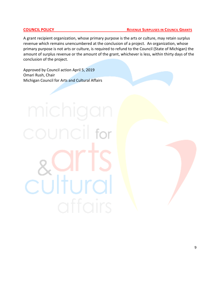A grant recipient organization, whose primary purpose is the arts or culture, may retain surplus revenue which remains unencumbered at the conclusion of a project. An organization, whose primary purpose is not arts or culture, is required to refund to the Council (State of Michigan) the amount of surplus revenue or the amount of the grant, whichever is less, within thirty days of the conclusion of the project.

Approved by Council action April 5, 2019 Omari Rush, Chair Michigan Council for Arts and Cultural Affairs

council for

cultura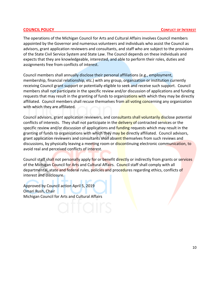The operations of the Michigan Council for Arts and Cultural Affairs involves Council members appointed by the Governor and numerous volunteers and individuals who assist the Council as advisors, grant application reviewers and consultants, and staff who are subject to the provisions of the State Civil Service System and State Law. The Council depends on these individuals and expects that they are knowledgeable, interested, and able to perform their roles, duties and assignments free from conflicts of interest.

Council members shall annually disclose their personal affiliations (e.g., employment, membership, financial relationship, etc.) with any group, organization or institution currently receiving Council grant support or potentially eligible to seek and receive such support. Council members shall not participate in the specific review and/or discussion of applications and funding requests that may result in the granting of funds to organizations with which they may be directly affiliated. Council members shall recuse themselves from all voting concerning any organization with which they are affiliated.

Council advisors, grant application reviewers, and consultants shall voluntarily disclose potential conflicts of interests. They shall not participate in the *delivery* of contracted services or the specific review and/or discussion of applications and funding requests which may result in the granting of funds to organizations with which they may be directly affiliated. Council advisors, grant application reviewers and consultants shall absent themselves from such reviews and discussions, by physically leaving a meeting room or discontinuing electronic communication, to avoid real and perceived conflicts of interest.

Council staff shall not personally apply for or benefit directly or indirectly from grants or services of the Michigan Council for Arts and Cultural Affairs. Council staff shall comply with all departmental, state and federal rules, policies and procedures regarding ethics, conflicts of interest and disclosure.

Approved by Council action April 5, 2019 Omari Rush, Chair Michigan Council for Arts and Cultural Affairs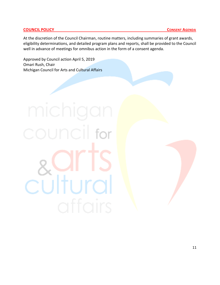At the discretion of the Council Chairman, routine matters, including summaries of grant awards, eligibility determinations, and detailed program plans and reports, shall be provided to the Council well in advance of meetings for omnibus action in the form of a consent agenda.

Approved by Council action April 5, 2019 Omari Rush, Chair Michigan Council for Arts and Cultural Affairs

# council for cultural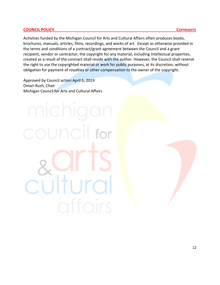#### **COUNCIL POLICY COUNCIL POLICY**

Activities funded by the Michigan Council for Arts and Cultural Affairs often produces books, brochures, manuals, articles, films, recordings, and works of art. Except as otherwise provided in the terms and conditions of a contract/grant agreement between the Council and a grant recipient, vendor or contractor, the copyright for any material, including intellectual properties, created as a result of the contract shall reside with the author. However, the Council shall reserve the right to use the copyrighted material or work for public purposes, at its discretion, without obligation for payment of royalties or other compensation to the owner of the copyright.

Approved by Council action April 5, 2019 Omari Rush, Chair Michigan Council for Arts and Cultural Affairs

# culture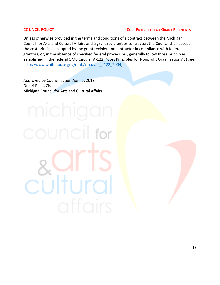Unless otherwise provided in the terms and conditions of a contract between the Michigan Council for Arts and Cultural Affairs and a grant recipient or contractor, the Council shall accept the cost principles adopted by the grant recipient or contractor in compliance with federal grantors, or, in the absence of specified federal procedures, generally follow those principles established in the federal OMB Circular A-122, "Cost Principles for Nonprofit Organizations". ( see: [http://www.whitehouse.gov/omb/circulars\\_a122\\_2004\)](http://www.whitehouse.gov/omb/circulars_a122_2004)

Approved by Council action April 5, 2019 Omari Rush, Chair Michigan Council for Arts and Cultural Affairs

council for

culture

# 13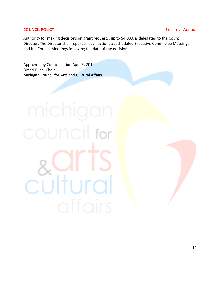#### **COUNCIL POLICY EXECUTIVE ACTION**

Authority for making decisions on grant requests, up to \$4,000, is delegated to the Council Director. The Director shall report all such actions at scheduled Executive Committee Meetings and full Council Meetings following the date of the decision.

Approved by Council action April 5, 2019 Omari Rush, Chair Michigan Council for Arts and Cultural Affairs

# council for cultural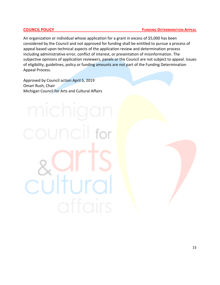An organization or individual whose application for a grant in excess of \$5,000 has been considered by the Council and not approved for funding shall be entitled to pursue a process of appeal based upon technical aspects of the application review and determination process including administrative error, conflict of interest, or presentation of misinformation. The subjective opinions of application reviewers, panels or the Council are not subject to appeal. Issues of eligibility, guidelines, policy or funding amounts are not part of the Funding Determination Appeal Process.

Approved by Council action April 5, 2019 Omari Rush, Chair Michigan Council for Arts and Cultural Affairs

culture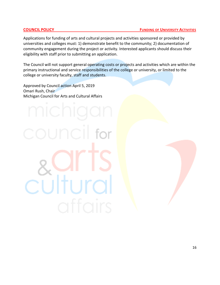Applications for funding of arts and cultural projects and activities sponsored or provided by universities and colleges must: 1) demonstrate benefit to the community; 2) documentation of community engagement during the project or activity. Interested applicants should discuss their eligibility with staff prior to submitting an application.

The Council will not support general operating costs or projects and activities which are within the primary instructional and service responsibilities of the college or university, or limited to the college or university faculty, staff and students.

Approved by Council action April 5, 2019 Omari Rush, Chair Michigan Council for Arts and Cultural Affairs

cultur

#### 16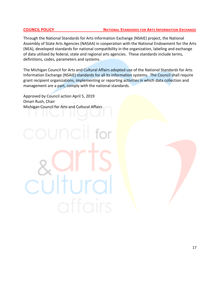#### **COUNCIL POLICY** NATIONAL STANDARDS FOR ARTS INFORMATION EXCHANGE

Through the National Standards for Arts Information Exchange (NSAIE) project, the National Assembly of State Arts Agencies (NASAA) in cooperation with the National Endowment for the Arts (NEA), developed standards for national compatibility in the organization, labeling and exchange of data utilized by federal, state and regional arts agencies. These standards include terms, definitions, codes, parameters and systems.

The Michigan Council for Arts and Cultural Affairs adopted use of the National Standards for Arts Information Exchange (NSAIE) standards for all its information systems. The Council shall require grant recipient organizations, implementing or reporting activities in which data collection and management are a part, comply with the national standards.

Approved by Council action April 5, 2019 Omari Rush, Chair Michigan Council for Arts and Cultural Affairs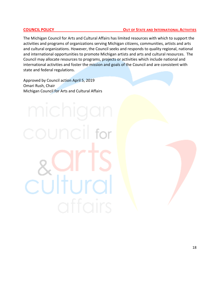#### **COUNCIL POLICY COUNCIL POLICY OUT OF STATE AND INTERNATIONAL ACTIVITIES**

The Michigan Council for Arts and Cultural Affairs has limited resources with which to support the activities and programs of organizations serving Michigan citizens, communities, artists and arts and cultural organizations. However, the Council seeks and responds to quality regional, national and international opportunities to promote Michigan artists and arts and cultural resources. The Council may allocate resources to programs, projects or activities which include national and international activities and foster the mission and goals of the Council and are consistent with state and federal regulations.

Approved by Council action April 5, 2019 Omari Rush, Chair Michigan Council for Arts and Cultural Affairs

# culture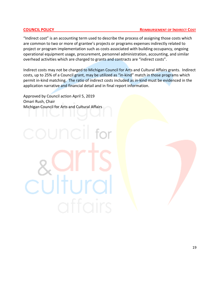"Indirect cost" is an accounting term used to describe the process of assigning those costs which are common to two or more of grantee's projects or programs expenses indirectly related to project or program implementation such as costs associated with building occupancy, ongoing operational equipment usage, procurement, personnel administration, accounting, and similar overhead activities which are charged to grants and contracts are "indirect costs".

Indirect costs may not be charged to Michigan Council for Arts and Cultural Affairs grants. Indirect costs, up to 25% of a Council grant, may be utilized as "in-kind" match in those programs which permit in-kind matching. The ratio of indirect costs included as in-kind must be evidenced in the application narrative and financial detail and in final report information.

Approved by Council action April 5, 2019 Omari Rush, Chair Michigan Council for Arts and Cultural Affairs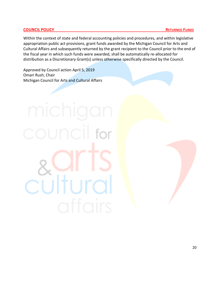# **COUNCIL POLICY RETURNED FUNDS**

Within the context of state and federal accounting policies and procedures, and within legislative appropriation public act provisions, grant funds awarded by the Michigan Council for Arts and Cultural Affairs and subsequently returned by the grant recipient to the Council prior to the end of the fiscal year in which such funds were awarded, shall be automatically re-allocated for distribution as a Discretionary Grant(s) unless otherwise specifically directed by the Council.

Approved by Council action April 5, 2019 Omari Rush, Chair Michigan Council for Arts and Cultural Affairs

# council for culture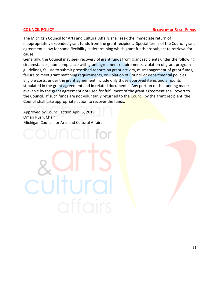The Michigan Council for Arts and Cultural Affairs shall seek the immediate return of inappropriately expended grant funds from the grant recipient. Special terms of the Council grant agreement allow for some flexibility in determining which grant funds are subject to retrieval for cause.

Generally, the Council may seek recovery of grant funds from grant recipients under the following circumstances; non-compliance with grant agreement requirements, violation of grant program guidelines, failure to submit prescribed reports on grant activity, mismanagement of grant funds, failure to meet grant matching requirements, or violation of Council or departmental policies. Eligible costs, under the grant agreement include only those approved items and amounts stipulated in the grant agreement and in related documents. Any portion of the funding made available by the grant agreement not used for fulfillment of the grant agreement shall revert to the Council. If such funds are not voluntarily returned to the Council by the grant recipient, the Council shall take appropriate action to recover the funds.

Approved by Council action April 5, 2019 Omari Rush, Chair Michigan Council for Arts and Cultural Affairs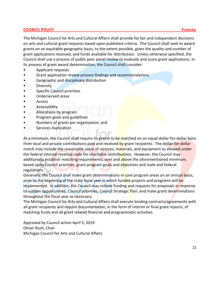# **COUNCIL POLICY FUNDING**

The Michigan Council for Arts and Cultural Affairs shall provide for fair and independent decisions on arts and cultural grant requests based upon published criteria. The Council shall seek to award grants on an equitable geographic basis, to the extent possible, given the quality and number of grant applications received, and funds available for distribution. Unless otherwise specified, the Council shall use a process of public peer panel review to evaluate and score grant applications. In its process of grant award determination, the Council shall consider:

- Applicant requests
- Grant application review process findings and recommendations
- Geographic and disciplinary distribution
- Diversity
- Specific Council priorities
- Underserved areas
- Access
- Accessibility
- Allocations by program
- Program goals and guidelines
- Numbers of grants per organization, and
- Services duplication

At a minimum, the Council shall require its grants to be matched on an equal dollar-for-dollar basis from local and private contributions paid and received by grant recipients. The dollar-for-dollar match may include the reasonable value of services, materials, and equipment as allowed under the federal internal revenue code for charitable contributions. However, the Council may additionally establish matching requirements, over and above the aforementioned minimum, based upon Council priorities, grant program goals and objectives and state and federal regulations.

Generally, the Council shall make grant determinations in core program areas on an annual basis, prior to the beginning of the state fiscal year in which funded projects and programs will be implemented. In addition, the Council may initiate funding and requests for proposals in response to sudden opportunities, Council priorities, Council Strategic Plan, and make grant determinations throughout the fiscal year as necessary.

The Michigan Council for Arts and Cultural Affairs shall execute binding contracts/agreements with all grant recipients and require documentation, in the form of interim or final grant reports, of matching funds and all grant related financial and programmatic activities.

Approved by Council action April 5, 2019 Omari Rush, Chair Michigan Council for Arts and Cultural Affairs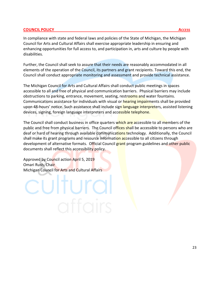#### **COUNCIL POLICY** ACCESS **ACCESS**

In compliance with state and federal laws and policies of the State of Michigan, the Michigan Council for Arts and Cultural Affairs shall exercise appropriate leadership in ensuring and enhancing opportunities for full access to, and participation in, arts and culture by people with disabilities.

Further, the Council shall seek to assure that their needs are reasonably accommodated in all elements of the operation of the Council, its partners and grant recipients. Toward this end, the Council shall conduct appropriate monitoring and assessment and provide technical assistance.

The Michigan Council for Arts and Cultural Affairs shall conduct public meetings in spaces accessible to all and free of physical and communication barriers. Physical barriers may include obstructions to parking, entrance, movement, seating, restrooms and water fountains. Communications assistance for individuals with visual or hearing impairments shall be provided upon 48-hours' notice. Such assistance shall include sign language interpreters, assisted listening devices, signing, foreign language interpreters and accessible telephone.

The Council shall conduct business in office quarters which are accessible to all members of the public and free from physical barriers. The Council offices shall be accessible to persons who are deaf or hard of hearing through available communications technology. Additionally, the Council shall make its grant programs and resource information accessible to all citizens through development of alternative formats. Official Council grant program guidelines and other public documents shall reflect this accessibility policy.

Approved by Council action April 5, 2019 Omari Rush, Chair Michigan Council for Arts and Cultural Affairs

# cultural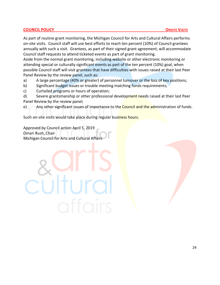# **COUNCIL POLICY COUNCIL POLICY**

As part of routine grant monitoring, the Michigan Council for Arts and Cultural Affairs performs on-site visits. Council staff will use best efforts to reach ten percent (10%) of Council grantees annually with such a visit. Grantees, as part of their signed grant agreement, will accommodate Council staff requests to attend ticketed events as part of grant monitoring.

Aside from the normal grant monitoring, including website or other electronic monitoring or attending special or culturally significant events as part of the ten percent (10%) goal, when possible Council staff will visit grantees that have difficulties with issues raised at their last Peer Panel Review by the review panel, such as:

- a) A large percentage (40% or greater) of personnel turnover or the loss of key positions;
- b) Significant budget issues or trouble meeting matching funds requirements;
- c) Curtailed programs or hours of operation;

d) Severe grantsmanship or other professional development needs raised at their last Peer Panel Review by the review panel;

e) Any other significant issues of importance to the **Council and the administration of funds.** 

Such on-site visits would take place during regular business hours.

Approved by Council action April 5, 2019 Omari Rush, Chair Michigan Council for Arts and Cultural Affairs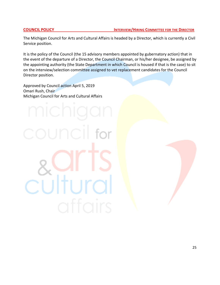The Michigan Council for Arts and Cultural Affairs is headed by a Director, which is currently a Civil Service position.

It is the policy of the Council (the 15 advisory members appointed by gubernatory action) that in the event of the departure of a Director, the Council Chairman, or his/her designee, be assigned by the appointing authority (the State Department in which Council is housed if that is the case) to sit on the interview/selection committee assigned to vet replacement candidates for the Council Director position.

Approved by Council action April 5, 2019 Omari Rush, Chair Michigan Council for Arts and Cultural Affairs

CUltur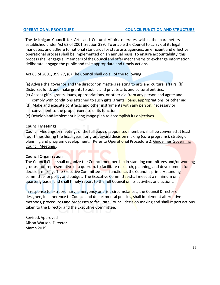The Michigan Council for Arts and Cultural Affairs operates within the parameters established under Act 63 of 2001, Section 399. To enable the Council to carry out itslegal mandates, and adhere to national standards for state arts agencies, an efficient and effective operational process shall be implemented on an annual basis. To ensure accountability,this process shall engage all members of the Council and offer mechanisms to exchange information, deliberate, engage the public and take appropriate and timely actions.

Act 63 of 2001, 399.77, (6) The Council shall do all of the following:

(a) Advise the governor and the director on matters relating to arts and cultural affairs. (b) Disburse, fund, and make grants to public and private arts and cultural entities.

- (c) Accept gifts, grants, loans, appropriations, or other aid from any person and agree and comply with conditions attached to such gifts, grants, loans, appropriations, or other aid.
- (d) Make and execute contracts and other instruments with any person, necessary or convenient to the proper exercise of its function
- (e) Develop and implement a long-range plan to accomplish its objectives

#### **Council Meetings**

Council Meetings or meetings of the full body of appointed members shall be convened at least four times during the fiscal year, for grant award decision making (core programs), strategic planning and program development. Refer to Operational Procedure 2, Guidelines Governing Council Meetings.

# **Council Organization**

The Council Chair shall organize the Council membership in standing committees and/or working groups, not representative of a quorum, to facilitate research, planning, and development for decision-making. The Executive Committee shall function as the Council's primary standing committee for policy and budget. The Executive Committee shall meet at a minimum on a quarterly basis, and shall timely report to the full Council on its activities and actions.

In response to extraordinary, emergency or crisis circumstances, the Council Director or designee, in adherence to Council and departmental policies, shall implement alternative methods, procedures and processes to facilitate Council decision making and shall report actions taken to the Director and the Executive Committee.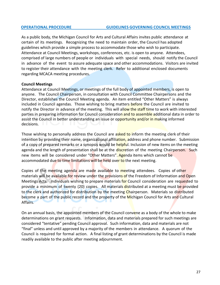#### **OPERATIONAL PROCEDURE GUIDELINES GOVERNING COUNCIL MEETINGS**

As a public body, the Michigan Council for Arts and Cultural Affairs invites public attendance at certain of its meetings. Recognizing the need to maintain order, the Council has adopted guidelines which provide a simple process to accommodate those who wish to participate. Attendance at Council Meetings, workshops, conferences, etc. is open to anyone. Attendees, comprised of large numbers of people or individuals with special needs, should notify the Council in advance of the event to assure adequate space and other accommodations. Visitors are invited to register their attendance with the meeting clerk. Refer to additional enclosed documents regarding MCACA meeting procedures.

#### **Council Meetings**

Attendance at Council Meetings, or meetings of the full body of appointed members, is open to anyone. The Council Chairperson, in consultation with Council Committee Chairpersons and the Director, establishes the Council Meeting agenda. An item entitled "Other Matters" is always included in Council agendas. Those wishing to bring matters before the Council are invited to notify the Director in advance of the meeting. This will allow the staff time to work with interested parties in preparing information for Council consideration and to assemble additional data in order to assist the Council in better understanding an issue or opportunity and/or in making informed decisions.

Those wishing to personally address the Council are asked to inform the meeting clerk of their intention by providing their name, organizational affiliation, address and phone number. Submission of a copy of prepared remarks or a synopsis would be helpful. Inclusion of new items on the meeting agenda and the length of presentation shall be at the discretion of the meeting Chairperson. Such new items will be considered under "Other Matters". Agenda items which cannot be accommodated due to time limitations will be held over to the next meeting.

Copies of the meeting agenda are made available to meeting attendees. Copies of other materials will be available for review under the provisions of the Freedom of Information and Open Meetings Acts. Individuals wishing to prepare materials for Council consideration are requested to provide a minimum of twenty (20) copies. All materials distributed at a meeting must be provided to the clerk and authorized for distribution by the meeting Chairperson. Materials so distributed become a part of the public record and the property of the Michigan Council for Arts and Cultural Affairs.

On an annual basis, the appointed members of the Council convene as a body of the whole to make determinations on grant requests. Information, data and materials prepared for such meetings are considered "tentative" pending Council approval. Such information, data and materials are not "final" unless and until approved by a majority of the members in attendance. A quorum of the Council is required for formal action. A final listing of grant determinations by the Council is made readily available to the public after meeting adjournment.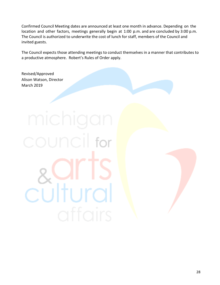Confirmed Council Meeting dates are announced at least one month in advance. Depending on the location and other factors, meetings generally begin at 1:00 p.m. and are concluded by 3:00 p.m. The Council is authorized to underwrite the cost of lunch for staff, members of the Council and invited guests.

The Council expects those attending meetings to conduct themselves in a manner that contributes to a productive atmosphere. Robert's Rules of Order apply.

Revised/Approved Alison Watson, Director March 2019

council for cültural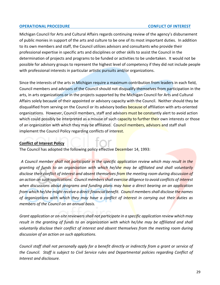#### **OPERATIONAL PROCEDURE CONFLICT OF INTEREST**

Michigan Council for Arts and Cultural Affairs regards continuing review of the agency's disbursement of public monies in support of the arts and culture to be one of its most important duties. In addition to its own members and staff, the Council utilizes advisors and consultants who provide their professional expertise in specific arts and disciplines or other skills to assist the Council in the determination of projects and programs to be funded or activities to be undertaken. It would not be possible for advisory groups to represent the highest level of competency if they did not include people with professional interests in particular artistic pursuits and/or organizations.

Since the interests of the arts in Michigan require a maximum contribution from leaders in each field, Council members and advisors of the Council should not disqualify themselves from participation in the arts, in arts organizations or in the projects supported by the Michigan Council for Arts and Cultural Affairs solely because of their appointed or advisory capacity with the Council. Neither should they be disqualified from serving on the Council or its advisory bodies because of affiliation with arts-oriented organizations. However, Council members, staff and advisors must be constantly alert to avoid action which could possibly be interpreted as a misuse of such capacity to further their own interests or those of an organization with which they may be affiliated. Council members, advisors and staff shall implement the Council Policy regarding conflicts of interest.

# **Conflict of Interest Policy**

The Council has adopted the following policy effective December 14, 1993:

*A Council member shall not participate in the specific application review which may result in the granting of funds to an organization with which he/she may be affiliated and shall voluntarily disclose their conflict of interest and absent themselves from the meeting room during discussion of an action on such applications. Council members shall exercise diligence to avoid conflicts of interest when discussions about programs and funding plans may have a direct bearing on an application from which he/she might receive a direct financial benefit. Council members shall disclose the names of organizations with which they may have a conflict of interest in carrying out their duties as members of the Council on an annual basis.*

*Grant application or on-site reviewers shall not participate in a specific application review which may result in the granting of funds to an organization with which he/she may be affiliated and shall voluntarily disclose their conflict of interest and absent themselves from the meeting room during discussion of an action on such applications.*

*Council staff shall not personally apply for a benefit directly or indirectly from a grant or service of the Council. Staff is subject to Civil Service rules and Departmental policies regarding Conflict of Interest and disclosure.*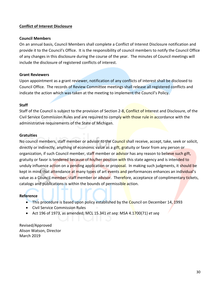# **Conflict of Interest Disclosure**

# **Council Members**

On an annual basis, Council Members shall complete a Conflict of Interest Disclosure notification and provide it to the Council's Office. It is the responsibility of council members to notify the Council Office of any changes in this disclosure during the course of the year. The minutes of Council meetings will include the disclosure of registered conflicts of interest.

#### **Grant Reviewers**

Upon appointment as a grant reviewer, notification of any conflicts of interest shall be disclosed to Council Office. The records of Review Committee meetings shall release all registered conflicts and indicate the action which was taken at the meeting to implement the Council's Policy.

#### **Staff**

Staff of the Council is subject to the provision of Section 2-8, Conflict of Interest and Disclosure, of the Civil Service Commission Rules and are required to comply with those rule in accordance with the administrative requirements of the State of Michigan.

#### **Gratuities**

No council members, staff member or advisor to the Council shall receive, accept, take, seek or solicit, directly or indirectly, anything of economic value as a gift, gratuity or favor from any person or organization, if such Council member, staff member or advisor has any reason to believe such gift, gratuity or favor is tendered because of his/her position with this state agency and is intended to unduly influence action on a pending application or proposal. In making such judgments, it should be kept in mind that attendance at many types of art events and performances enhances an individual's value as a Council member, staff member or advisor. Therefore, acceptance of complimentary tickets, catalogs and publications is within the bounds of permissible action.

#### **Reference**

- This procedure is based upon policy established by the Council on December 14, 1993
- Civil Service Commission Rules
- Act 196 of 1973, as amended; MCL 15.341 *et seq*: MSA 4.1700(71) *et seq*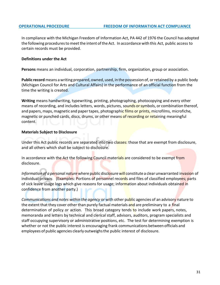In compliance with the Michigan Freedom of Information Act, PA 442 of 1976 the Council has adopted the following proceduresto meetthe intent oftheAct. In accordance with this Act, public access to certain records must be provided.

#### **Definitions under the Act**

**Persons** means an individual, corporation, partnership, firm, organization, group or association.

**Public record** means awriting prepared, owned, used, in the possession of, orretained by a public body (Michigan Council for Arts and Cultural Affairs) in the performance of an official function from the time the writing is created.

**Writing** means handwriting, typewriting, printing, photographing, photocopying and every other means of recording, and includes letters, words, pictures, sounds or symbols, or combination thereof, and papers, maps, magnetic and paper tapes, photographic films or prints, microfilms, microfiche, magnetic or punched cards, discs, drums, or other means of recording or retaining meaningful content.

#### **Materials Subject to Disclosure**

Under this Act public records are separated into two classes: those that are exempt from disclosure, and all others which shall be subject to disclosure.

In accordance with the Act the following Council materials are considered to be exempt from disclosure.

*Information of a personal nature* where public disclosure will constitute a clear unwarranted invasion of individual privacy. (Examples: Portions of personnel records and files of classified employees; parts of sick leave usage logs which give reasons for usage; information about individuals obtained in confidence from another party.)

*Communications and notes within the agency* or with other public agencies of an advisory nature to the extent that they cover other than purely factual materials and are preliminary to a final determination of policy or action. This broad category tends to include work papers, notes, memoranda and letters by technical and clerical staff, advisors, auditors, program specialists and staff occupying supervisory or administrative positions, etc. The test for determining exemption is whether or not the public interest is encouraging frank communications between officials and employees of public agencies clearly outweighsthe public interest of disclosure.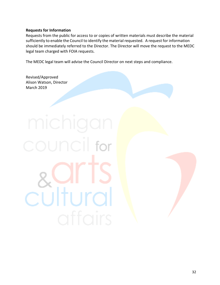# **Requests for Information**

Requests from the public for access to or copies of written materials must describe the material sufficiently to enable the Council to identify the material requested. A request for information should be immediately referred to the Director. The Director will move the request to the MEDC legal team charged with FOIA requests.

The MEDC legal team will advise the Council Director on next steps and compliance.

Revised/Approved Alison Watson, Director March 2019

for culture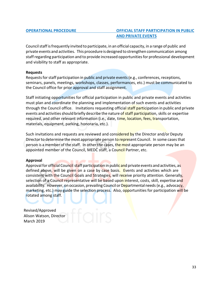# **OPERATIONAL PROCEDURE OFFICIAL STAFF PARTICIPATION IN PUBLIC AND PRIVATE EVENTS**

Councilstaff isfrequently invited to participate, in an official capacity, in a range of public and private events and activities. This procedure is designed to strengthen communication among staffregarding participation and to provide increased opportunitiesfor professional development and visibility to staff as appropriate.

#### **Requests**

Requests for staff participation in public and private events (e.g., conferences, receptions, seminars, panels, meetings, workshops, classes, performances, etc.) must be communicated to the Council office for prior approval and staff assignment.

Staff initiating opportunities for official participation in public and private events and activities must plan and coordinate the planning and implementation of such events and activities through the Council office. Invitations requesting official **staff participation in public and private** events and activities should briefly describe the nature of staff participation, skills or expertise required, and other relevant information (i.e., date, time, location, fees, transportation, materials, equipment, parking, honoraria, etc.).

Such invitations and requests are reviewed and considered by the Director and/or Deputy Director to determine the most appropriate person to represent Council. In some cases that person is a member of the staff. In other the cases, the most appropriate person may be an appointed member of the Council, MEDC staff, a Council Partner, etc.

# **Approval**

Approval for official Council staff participation in public and private events and activities, as defined above, will be given on a case by case basis. Events and activities which are consistent with the Council Goals and Strategies, will receive priority attention. Generally, selection of a Council representative will be based upon interest, costs, skill, expertise and availability. However, on occasion, prevailing Council or Departmental needs (e.g., advocacy, marketing, etc.) may guide the selection process. Also, opportunities for participation will be rotated among staff.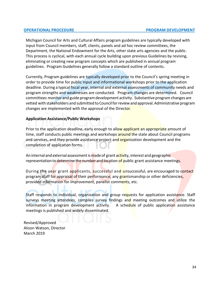#### **OPERATIONAL PROCEDURE PROGRAM DEVELOPMENT**

Michigan Council for Arts and Cultural Affairs program guidelines are typically developed with input from Council members, staff, clients, panels and ad hoc review committees, the Department, the National Endowment for the Arts, other state arts agencies and the public. This process is cyclical, with each annual cycle building upon previous Guidelines by revising, eliminating or creating new program concepts which are published in annual program guidelines. Program Guidelines generally follow a standard outline of contents.

Currently, Program guidelines are typically developed prior to the Council's spring meeting in order to provide time for public input and informational workshops prior to the application deadline. During a typical fiscal year, internal and external assessments of community needs and program strengths and weaknesses are conducted. Program changes are determined. Council committees monitor and guide programdevelopment activity. Substantive programchanges are vetted with stakeholders and submitted to Councilforreview and approval.Administrative program changes are implemented with the approval of the Director.

# **Application Assistance/Public Workshops**

Prior to the application deadline, early enough to allow applicant an appropriate amount of time, staff conducts public meetings and workshops around the state about Council programs and services, and they provide assistance project and organization development and the completion of application forms.

An internal and external assessment is made of grant activity, interest and geographic representation to determine the number and location of public grant assistance meetings.

During the year grant applicants, successful and unsuccessful, are encouraged to contact program staff for appraisal of their performance, any grantsmanship or other deficiencies, provided information for improvement, panelist comments, etc.

Staff responds to individual, organization and group requests for application assistance. Staff surveys meeting attendees, compiles survey findings and meeting outcomes and utilize the information in program development activity. A schedule of public application assistance meetings is published and widely disseminated.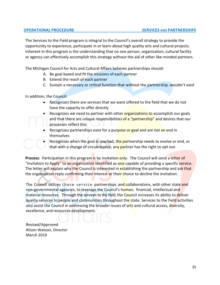The Services to the Field program is integral to the Council's overall strategy to provide the opportunity to experience, participate in or learn about high quality arts and cultural projects. Inherent in this program is the understanding that no one person, organization, cultural facility or agency can effectively accomplish this strategy without the aid of other like-minded partners.

The Michigan Council for Arts and Cultural Affairs believes partnerships should:

- A. Be goal based and fit the missions of each partner
- B. Extend the reach of each partner
- C. Sustain a necessary or critical function that without the partnership, wouldn't exist

In addition, the Council:

- Recognizes there are services that we want offered to the field that we do not have the capacity to offer directly
- Recognizes we need to partner with other **organizations to** accomplish our goals and that there are unique responsibilities of a "partnership" and desires that our processes reflect this
- Recognizes partnerships exist for a purpose or goal and are not an end in themselves
- Recognizes when the goal is reached, the partnership needs to evolve or end, or that with a change of circumstance, any partner has the right to opt out.

Process: Participation in this program is by invitation only. The Council will send a letter of "Invitation to Apply" to an organization identified as one capable of providing a specific service. The letter will explain why the Council is interested in establishing the partnership and ask that the organization reply confirming their interest or their choice to decline the invitation.

The Council utilizes these service partnerships and collaborations, with other state and non-governmental agencies, to leverage the Council's human, financial, intellectual and material resources. Through the services to the field, the Council increases its ability to deliver quality services to people and communities throughout the state. Services to the Field activities also assist the Council in addressing the broader issues of arts and cultural access, diversity, excellence, and resources development.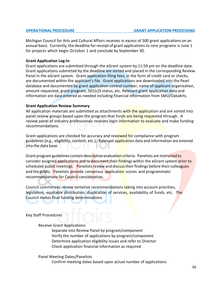Michigan Council for Arts and Cultural Affairs receives in excess of 300 grant applications on an annual basis. Currently, the deadline for receipt of grant applications to core programs is June 1 for projects which begin October 1 and conclude by September 30.

#### **Grant Application Log-In**

Grant applications are submitted through the eGrant system by 11:59 pm on the deadline date. Grant applications submitted by the deadline are sorted and placed in the corresponding Review Panel in the eGrant system. Grant application filing fees, in the form of credit card or checks, are documented within the applicant's file. Grant applications are downloaded into the Pearl database and documented by grant application control number, name of applicant organization, amount requested, grant program, 501(c)3 status, etc. Relevant grant application data and information are data entered as needed including financial information from SMU/DataArts.

#### **Grant Application Review Summary**

All application materials are submitted as attachments with the application and are sorted into panel review groups based upon the program that funds are being requested through. A review panel of industry professionals receives login information to evaluate and make funding recommendations.

Grant applications are checked for accuracy and reviewed for compliance with program guidelines (e.g., eligibility, content, etc.). Relevant application data and information are entered into the data base.

Grant program guidelines contain descriptive evaluation criteria. Panelists are instructed to consider assigned applications and to document their findings within the eGrant system prior to scheduled public meetings. Panelists review and discuss their findings before their colleagues and the public. Panelists provide consensus application scores and programmatic recommendations for Council consideration.

Council committees review tentative recommendations taking into account priorities, legislation, equitable distribution, duplication of services, availability of funds, etc. The Council makes final funding determinations.

Key Staff Procedures

#### Receive Grant Applications

Separate into Review Panel by program/component Verify the number of applications by program/component Determine application eligibility issues and refer to Director Check application financial information as required

Panel Meeting Dates/Panelists

Confirm meeting dates based upon actual number of applications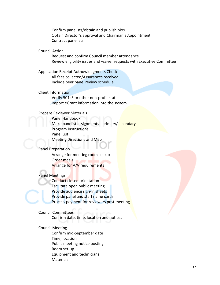Confirm panelists/obtain and publish bios Obtain Director's approval and Chairman's Appointment Contract panelists

#### Council Action

Request and confirm Council member attendance Review eligibility issues and waiver requests with Executive Committee

Application Receipt Acknowledgments Check All fees collected/Assurances received Include peer panel review schedule

#### Client Information

Verify 501c3 or other non-profit status Import eGrant information into the system

#### Prepare Reviewer Materials

Panel Handbook Make panelist assignments - primary/secondary Program Instructions Panel List Meeting Directions and Map

#### Panel Preparation

Arrange for meeting room set-up Order meals Arrange for A/V requirements

#### Panel Meetings

Conduct closed orientation Facilitate open public meeting Provide audience sign-in sheets Provide panel and staff name cards Process payment for reviewers post meeting

#### Council Committees

Confirm date, time, location and notices

#### Council Meeting

Confirm mid-September date Time, location Public meeting notice posting Room set-up Equipment and technicians **Materials**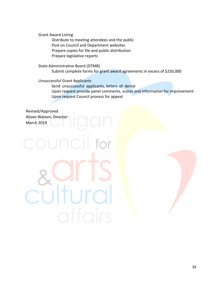Grant Award Listing

Distribute to meeting attendees and the public Post on Council and Department websites Prepare copies for file and public distribution Prepare legislative reports

State Administrative Board (DTMB) Submit complete forms for grant award agreements in excess of \$250,000

Unsuccessful Grant Applicants

cultura

Send unsuccessful applicants, letters of denial Upon request provide panel comments, scores and information for improvement Upon request Council process for appeal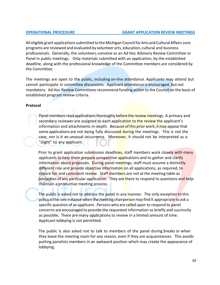#### **OPERATIONAL PROCEDURE GRANT APPLICATION REVIEW MEETINGS**

All eligible grant applications submitted to the Michigan Council for Arts and Cultural Affairs core programs are reviewed and evaluated by volunteer arts, education, cultural and business professionals. Generally, the volunteers convene as an Ad Hoc Advisory Review Committee or Panel in public meetings. Only materials submitted with an application, by the established deadline, along with the professional knowledge of the Committee members are considered by the Committee.

The meetings are open to the public, including on-line attendance. Applicants may attend but cannot participate in committee discussions. Applicant attendance is encouraged, but not mandatory. Ad Hoc Review Committees recommend funding action to the Council on the basis of established program review criteria.

#### **Protocol**

Panel members read applications thoroughly before the review meetings. A primary and secondary reviewer are assigned to each application to the review the applicant's information and attachments in-depth. Because of this prior work, it may appear that some applications are not being fully discussed during the meetings. This is not the case, nor is it an unusual occurrence. Moreover, it should not be interpreted as a "slight" to any applicant.

Prior to grant application submission deadlines, staff members work closely with many applicants to help them prepare competitive applications and to gather and clarify information about proposals. During panel meetings, staff must assume a distinctly different role and provide objective information on all applications, as required, to ensure fair and consistent review. Staff members are not at the meeting table as advocates of any particular application. They are there to respond to questions and help maintain a productive meeting process.

The public is asked not to address the panel in any manner. The only exception to this policy is the rare instance when the meeting chairperson may find it appropriate to ask a specific question of an applicant. Persons who are called upon to respond to panel concerns are encouraged to provide the requested information as briefly and succinctly as possible. There are many applications to review in a limited amount of time. Applicant lobbying is not permitted.

The public is also asked not to talk to members of the panel during breaks or when they leave the meeting room for any reason, even if they are acquaintances. This avoids putting panelists members in an awkward position which may create the appearance of lobbying.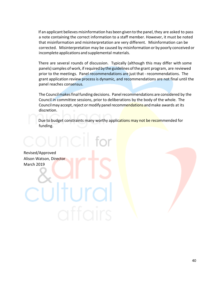If an applicant believes misinformation has been given to the panel, they are asked to pass a note containing the correct information to a staff member. However, it must be noted that misinformation and misinterpretation are very different. Misinformation can be corrected. Misinterpretation may be caused by misinformation or by poorly conceived or incomplete applications and supplemental materials.

There are several rounds of discussion. Typically (although this may differ with some panels) samples of work, if required by the guidelines of the grant program, are reviewed prior to the meetings. Panel recommendations are just that - recommendations. The grant application review processis dynamic, and recommendations are not final until the panel reaches consensus.

The Council makes final funding decisions. Panel recommendations are considered by the Council in committee sessions, prior to deliberations by the body of the whole. The Council may accept, reject or modify panel recommendations and make awards at its discretion.

Due to budget constraints many worthy applications may not be recommended for funding.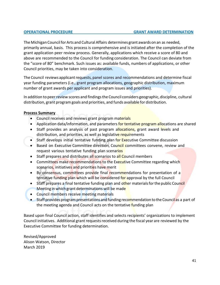# **OPERATIONAL PROCEDURE GRANT AWARD DETERMINATION**

The Michigan Council for Arts and Cultural Affairs determines grant awards on an as needed, primarily annual, basis. This process is comprehensive and is initiated after the completion of the grant application peer review process. Generally, applications which receive a score of 80 and above are recommended to the Council for funding consideration. The Council can deviate from the "score of 80" benchmark. Such issues as: available funds, numbers of applications, or other Council priorities, may be taken into consideration.

The Council reviews applicant requests, panel scores and recommendations and determine fiscal year funding parameters (i.e., grant program allocations, geographic distribution, maximum number of grant awards per applicant and program issues and priorities).

In addition to peer review scores and findings the Council considers geographic, discipline, cultural distribution, grant program goals and priorities, and funds available for distribution.

# **Process Summary**

- Council receives and reviews grant program materials
- Application data/information, and parameters for tentative program allocations are shared
- Staff provides an analysis of past program allocations, grant award levels and distribution, and priorities, as well as legislative requirements
- Staff develops initial tentative funding plan for Executive Committee discussion
- Based on Executive Committee direction, Council committees convene, review and request various tentative funding plan scenarios
- Staff prepares and distributes all scenarios to all Council members
- Committees make recommendations to the Executive Committee regarding which scenarios, initiatives and priorities have merit
- By consensus, committees provide final recommendations for presentation of a tentative funding plan which will be considered for approval by the full Council
- Staff prepares a final tentative funding plan and other materials for the public Council Meeting in which grant determinations will be made
- Council members receive meeting materials
- Staff provides program presentations and funding recommendation to the Council as a part of the meeting agenda and Council acts on the tentative funding plan

Based upon final Council action, staff identifies and selects recipients' organizations to implement Council initiatives. Additional grant requests received during the fiscal year are reviewed by the Executive Committee for funding determination.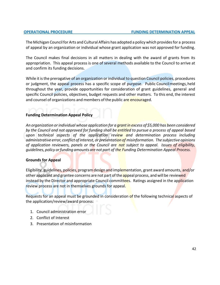The Michigan Councilfor Arts and Cultural Affairs has adopted a policy which providesfor a process of appeal by an organization or individual whose grant application was not approved for funding.

The Council makes final decisions in all matters in dealing with the award of grants from its appropriation. This appeal process is one of several methods available to the Council to arrive at and confirm its funding decisions.

While it isthe prerogative of an organization or individual to question Council policies, procedures or judgment, the appeal process has a specific scope of purpose. Public Councilmeetings,held throughout the year, provide opportunities for consideration of grant guidelines, general and specific Council policies, objectives, budget requests and other matters. To this end, the interest and counsel of organizations and members of the public are encouraged.

# **Funding Determination Appeal Policy**

*An organization orindividual whose application for a grant in excess of \$5,000 has been considered by the Council and not approved for funding shall be entitled to pursue a process of appeal based upon technical aspects of the application review and determination process including administrative error, conflict of interest, or presentation of misinformation. The subjective opinions of application reviewers, panels or the Council are not subject to appeal. Issues of eligibility, guidelines, policy orfunding amounts are not part of the Funding Determination Appeal Process.*

# **Grounds for Appeal**

Eligibility, guidelines, policies, program design and implementation, grant award amounts, and/or other applicant and grantee concerns are not part of the appeal process, and will be reviewed instead by the Director and appropriate Council committees. Ratings assigned in the application review process are not in themselves grounds for appeal.

Requests for an appeal must be grounded in consideration of the following technical aspects of the application/review/award process:

- 1. Council administration error
- 2. Conflict of Interest
- 3. Presentation of misinformation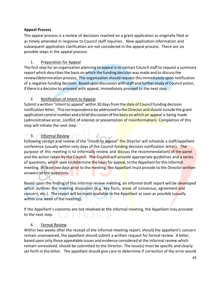# **Appeal Process**

The appeal process is a review of decisions reached on a grant application as originally filed or as timely amended in response to Council staff inquiries. New application information and subsequent application clarification are not considered in the appeal process. There are six possible steps in the appeal process:

# 1. Preparation for Appeal

The first step for an organization planning to appeal is to contact Council staff to request a summary report which describes the basis on which the funding decision was made and to discuss the review/determination process. The organization should request thisimmediately upon notification of a negative funding decision. Based upon discussion with staff and further study of Council action, ifthere is a decision to proceed with appeal, immediately proceed to the next step.

# 2. Notification of Intent to Appeal

Submit a written "intent to appeal" within 30 days from the date of Council funding decision notification letter. This correspondence be addressed to the Director and should include the grant application control number and a brief discussion of the basis on which an appeal is being made (administrative error, conflict of interest or presentation of misinformation). Completion of this step will initiate the next step.

# 3. Informal Review

Following receipt and review of the "intent to appeal" the Director will schedule a staff/appellant conference (usually within sixty days of the Council funding decision notification letter). The purpose of this meeting is to informally review and discuss the recommendations of the panel and the action taken by the Council. The Council will provide appropriate guidelines and a series of questions, which seek to determine the basis for appeal, to the Appellant for this informal meeting. At least two days prior to the meeting, the Appellant must provide to the Director written answers to the questions.

Based upon the finding of this informal review meeting, an informal draft report will be developed which outlines the meeting discussion (e.g. key facts, areas of consensus, agreement and concern, etc.). The report will be made available to the Appellant as soon as possible (usually within one week of the meeting).

If the Appellant's concerns are not resolved at the informal meeting, the Appellant may proceed to the next step.

# 4. Formal Review

Within two weeks after the receipt of the informal meeting report, should the appellant's concern remain unanswered, the appellant should submit a written request for formal review. A letter, based upon only those appealable issues and evidence considered atthe informal review which remain unresolved, should be submitted to the Director. The issue(s) must be specific and clearly set forth in the letter. The appellant should give care to determine if correction of the error would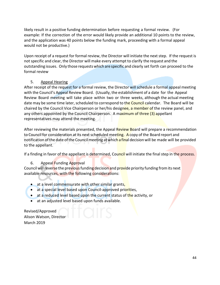likely result in a positive funding determination before requesting a formal review. (For example: If the correction of the error would likely provide an additional 10 points to the review, and the application was 40 points below the funding mark, proceeding with a formal appeal would not be productive.)

Upon receipt of a request for formal review, the Director will initiate the next step. If the request is not specific and clear, the Director will make every attempt to clarify the request and the outstanding issues. Only those requestswhich are specific and clearly set forth can proceed to the formal review

# 5. Appeal Hearing

After receipt of the request for a formal review, the Director will schedule a formal appeal meeting with the Council's Appeal Review Board. (Usually, the establishment of a date for the Appeal Review Board meeting will take place within two or three weeks, although the actual meeting date may be some time later, scheduled to correspond to the Council calendar. The Board will be chaired by the Council Vice Chairperson or her/his designee, a member of the review panel, and any others appointed by the Council Chairperson. A maximum of three (3) appellant representatives may attend the meeting.

After reviewing the materials presented, the Appeal Review Board will prepare a recommendation to Council for consideration at its next scheduled meeting. A copy of the Board report and notification of the date of the Council meeting at which a final decision will be made will be provided to the appellant.

If a finding in favor of the appellant is determined, Council will initiate the final step in the process.

# 6. Appeal Funding Approval

Council will reverse the previous funding decision and provide priority funding from its next available resources, with the following considerations:

- at a level commensurate with other similar grants,
- at a special level based upon Council-approved priorities,
- at a reduced level based upon the current status of the activity, or
- at an adjusted level based upon funds available.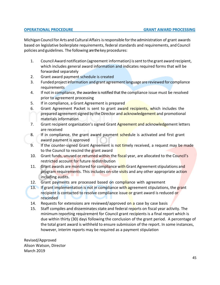Michigan CouncilforArts and CulturalAffairs isresponsible forthe administration of grant awards based on legislative boilerplate requirements, federal standards and requirements, and Council policies and guidelines. The following are the key procedures:

- 1. Council Award notification (agreement information) issentto the grant award recipient, which includes general award information and indicates required forms that will be forwarded separately
- 2. Grant award payment schedule is created
- 3. Funded project information and grant agreement language are reviewed for compliance requirements
- 4. If not in compliance, the awardee is notified that the compliance issue must be resolved prior to agreement processing
- 5. If in compliance, a Grant Agreement is prepared
- 6. Grant Agreement Packet is sent to grant award recipients, which includes the prepared agreement signed by the Director and **acknowledgement** and promotional materials information
- 7. Grant recipient organization's signed Grant Agreement and acknowledgement letters are received
- 8. If in compliance, the grant award payment schedule is activated and first grant award payment is approved
- 9. If the counter-signed Grant Agreement is not timely received, a request may be made to the Council to rescind the grant award
- 10. Grant funds, unused or returned within the fiscal year, are allocated to the Council's restricted account for future redistribution
- 11. Grant awards are monitored for compliance with Grant Agreement stipulations and program requirements. This includes on-site visits and any other appropriate action including audits.
- 12. Grant payments are processed based on compliance with agreement
- 13. If grant implementation is not in compliance with agreement stipulations, the grant recipient is contacted to resolve compliance issue or grant award is reduced or rescinded
- 14. Requests for extensions are reviewed/approved on a case by case basis
- 15. Staff compiles and disseminates state and federal reports on fiscal year activity. The minimum reporting requirement for Council grant recipients is a final report which is due within thirty (30) days following the conclusion of the grant period. A percentage of the total grant award is withheld to ensure submission of the report. In some instances, however, interim reports may be required as a payment stipulation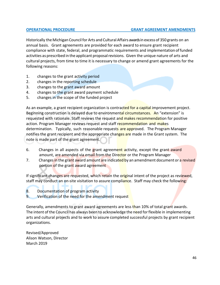Historically the Michigan Council for Arts and Cultural Affairs awardsin excess of 350 grants on an annual basis. Grant agreements are provided for each award to ensure grant recipient compliance with state, federal, and programmatic requirements and implementation offunded activities as prescribed in the applicant proposalrevisions. Given the unique nature of arts and cultural projects, from time to time it is necessary to change or amend grant agreements for the following reasons:

- 1. changes to the grant activity period
- 2. changes in the reporting schedule
- 3. changes to the grant award amount
- 4. changes to the grant award payment schedule
- 5. changes in the scope of the funded project

As an example, a grant recipient organization is contracted for a capital improvement project. Beginning construction is delayed due to environmental circumstances. An "extension" is requested with rationale. Staff reviews the request and makes recommendation for positive action. Program Manager reviews request and staff recommendation and makes determination. Typically, such reasonable requests are approved. The Program Manager notifies the grant recipient and the appropriate changes are made in the Grant system. The note is made part of the grant agreement.

- 6. Changes in all aspects of the grant agreement activity, except the grant award amount, are amended via email from the Director or the Program Manager
- 7. Changes in the grant award amount are indicated by an amendment document or a revised portion of the grant award agreement

If significant changes are requested, which retain the original intent of the project as reviewed, staff may conduct an on-site visitation to assure compliance. Staff may check the following:

- 8. Documentation of program activity
- 9. Verification of the need for the amendment request

Generally, amendments to grant award agreements are less than 10% of total grant awards. The intent of the Council has always been to acknowledge the need for flexible in implementing arts and cultural projects and to work to assure completed successful projects by grant recipient organizations.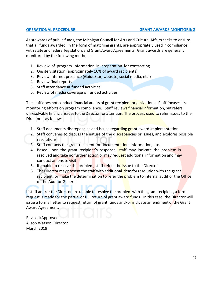As stewards of public funds, the Michigan Council for Arts and Cultural Affairs seeks to ensure that all funds awarded, in the form of matching grants, are appropriately used in compliance with state and federal legislation, andGrant Award Agreements. Grant awards are generally monitored by the following methods:

- 1. Review of program information in preparation for contracting
- 2. Onsite visitation (approximately 10% of award recipients)
- 3. Review internet presence (GuideStar, website, social media, etc.)
- 4. Review final reports
- 5. Staff attendance at funded activities
- 6. Review of media coverage of funded activities

The staff does not conduct financial audits of grant recipient organizations. Staff focuses its monitoring efforts on program compliance. Staff reviews financial information, but refers unresolvable financial issues to the Director for attention. The process used to refer issues to the Director is as follows:

- 1. Staff documents discrepancies and issues regarding grant award implementation
- 2. Staff convenes to discuss the nature of the discrepancies or issues, and explores possible resolutions
- 3. Staff contacts the grant recipient for documentation, information, etc.
- 4. Based upon the grant recipient's response, staff may indicate the problem is resolved and take no further action or may request additional information and may conduct an onsite visit
- 5. If unable to resolve the problem, staff refers the issue to the Director
- 6. The Director may present the staff with additional ideas for resolution with the grant recipient, or make the determination to refer the problem to internal audit or the Office of the Auditor General

If staff and/or the Director are unable to resolve the problem with the grant recipient, a formal request is made for the partial or full return of grant award funds. In this case, the Director will issue a formal letter to request return of grant funds and/or indicate amendment of the Grant Award Agreement.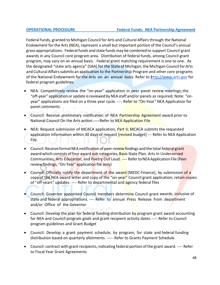Federal funds, granted to Michigan Council for Arts and Cultural Affairsthrough the National Endowment for the Arts (NEA), represent a small but important portion of the Council's annual gross appropriations. Federal funds and state funds may be combined to support Council grant awards in any Council core program area. Distribution of federal funds, among Council grant program, may vary on an annual basis. Federal grant matching requirement is one to one. As the designated "state arts agency" (SAA) for the State of Michigan, the Michigan Council for Arts and Cultural Affairs submits an application to the Partnership Program and other core programs of the National Endowment for the Arts on an annual basis. Refer to http://www.arts.gov for federal program guidelines.

- NEA: Competitively review the "on-year" application in peer panel review meetings;the "off-year" application orupdate isreviewed byNEA staff and/or panels as required; Note: "onyear" applications are filed on a three year cycle. ---- Refer to "On-Year" NEA Application for panel comments.
- Council: Receive preliminary notification of NEA Partnership Agreement award prior to National Council On the Arts action.-----Refer to NEA Application File
- NEA: Request submission of MCACA application, Part II; MCACA submits the requested application information within 30 days of request **[revised** budget] --- Refer to NEA Application File
- Council: Receive formal NEA notification of peer review findings and the total federal grant award which consists of four award sub-categories, Basic State Plan, Arts In Underserved Communities, Arts Education, and Poetry Out Loud. ---- Refer to NEA Application File (Peer review findings, "On-Year" application file only)
- Council: Officially notify the department of the award [MEDC Finance], by submission of a copy of the NEA award letter and copy of the "on-year" Council grant application; retain copies of "off-years" updates. ---- Refer to departmental and agency federal files
- Council: Governor appointed Council members determine Council grant awards, inclusive of state and federal appropriations. ---- Refer to annual Press Release from department and/or Office of the Governor
- Council: Develop the plan for federal funding distribution by program grant award accounting for NEA and Council program goals and grant recipient activity dates. ---- Refer to Council program guidelines and Grant Budget
- Council: Develop a grant payment schedule, by program, for state and federal funding distribution based on quarterly allotments. ----- Refer to Grants Payment Schedule
- Council: contract with grant recipients, indicating federal portion of the grant award. ---- Refer to Fiscal Year Grant Agreements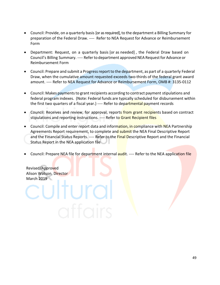- Council: Provide, on a quarterly basis [or as required], to the department a Billing Summary for preparation of the Federal Draw. ---- Refer to NEA Request for Advance or Reimbursement Form
- Department: Request, on a quarterly basis [or as needed] , the Federal Draw based on Council's Billing Summary. ---- Referto department approved NEA Requestfor Advance or Reimbursement Form
- Council: Prepare and submit a Progress report to the department, as part of a quarterly Federal Draw, when the cumulative amount requested exceeds two-thirds of the federal grant award amount. ---- Refer to NEA Request for Advance or Reimbursement Form, OMB #: 3135-0112
- Council: Makes payments to grant recipients according to contract payment stipulations and federal program indexes. (Note: Federal funds are typically scheduled for disbursement within the first two quarters of a fiscal year.) ---- Refer to departmental payment records
- Council: Receives and review, for approval, reports from grant recipients based on contract stipulations and reporting instructions. ---- Refer to Grant Recipient files
- Council: Compile and enter report data and information, in compliance with NEA Partnership Agreements Report requirement, to complete and submit the NEA Final Descriptive Report and the Financial Status Reports. ---- Refer to the **Final D**escriptive Report and the Financial Status Report in the NEA application file
- Council: Prepare NEA file for department internal audit. ---- Refer to the NEA application file

Revised/Approved Alison Watson, Director March 2019

ultura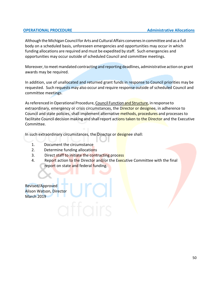#### **OPERATIONAL PROCEDURE Administrative Allocations**

Although the Michigan Council for Arts and Cultural Affairs convenes in committee and as a full body on a scheduled basis, unforeseen emergencies and opportunities may occur in which funding allocations are required and must be expedited by staff. Such emergencies and opportunities may occur outside of scheduled Council and committee meetings.

Moreover, to meet mandated contracting and reporting deadlines, administrative action on grant awards may be required.

In addition, use of unallocated and returned grant funds in response to Council priorities may be requested. Such requests may also occur and require response outside of scheduled Council and committee meetings.

As referenced in Operational Procedure, Council Function and Structure, in response to extraordinary, emergency or crisis circumstances, the Director or designee, in adherence to Council and state policies, shall implement alternative methods, procedures and processes to facilitate Council decision making and shall report actions taken to the Director and the Executive Committee.

In such extraordinary circumstances, the Director or designee shall:

- 1. Document the circumstance
- 2. Determine funding allocations
- 3. Direct staff to initiate the contracting process
- 4. Report action to the Director and/or the Executive Committee with the final report on state and federal funding.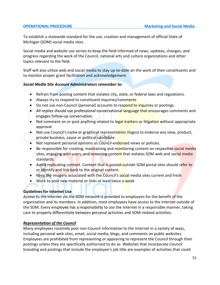To establish a statewide standard for the use, creation and management of official State of Michigan (SOM) social media sites.

Social media and website use serves to keep the field informed of news, updates, changes, and progress regarding the work of the Council, national arts and culture organizations and other topics relevant to the field.

Staff will also utilize web and social media to stay up-to-date on the work of their constituents and to monitor proper grant facilitation and acknowledgement.

# *Social Media Site Account Administrators remember to:*

- Refrain from posting content that violates city, state, or federal laws and regulations.
- Always try to respond to constituent inquiries/comments
- Do not use non-Council (personal) accounts to respond to inquiries or postings.
- All replies should use professional conversational language that encourages comments and engages follow-up conversation.
- Not comment on or post anything related to legal matters or litigation without appropriate approval.
- Not use Council's name or graphical representation (logos) to endorse any view, product, private business, cause or political candidate.
- Not represent personal opinions as Council-endorsed views or policies.
- Be responsible for creating, maintaining and monitoring content on respective social media sites, engaging with users, and removing content that violates SOM web and social media standards.
- Avoid replicating content. Content that is posted outside SOM portal sites should refer to or identify and link back to the original content.
- Keep the imagery associated with the Council's social media sites current and fresh
- Work to post new material or links at least twice a week

# **Guidelines for Internet Use**

Access to the Internet via the SOM network is provided to employees for the benefit of the organization and its members. In addition, most employees have access to the Internet outside of the SOM. Every employee has a responsibility to use the Internet in a responsible manner, taking care to properly differentiate between personal activities and SOM-related activities.

# *Representation of the Council*

Many employees routinely post non-Council information to the Internet in a variety of ways, including personal web sites, email, social media, blogs, and comments on public websites. Employees are prohibited from representing or appearing to represent the Council through their postings unless they are specifically authorized to do so. Websites that incorporate Council branding and postings that include the employee's job title are examples of activities that could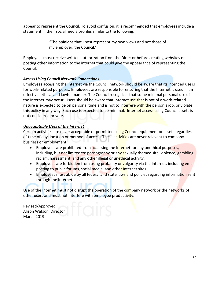appear to represent the Council. To avoid confusion, it is recommended that employees include a statement in their social media profiles similar to the following:

> "The opinions that I post represent my own views and not those of my employer, the Council."

Employees must receive written authorization from the Director before creating websites or posting other information to the internet that could give the appearance of representing the Council.

# *Access Using Council Network Connections*

Employees accessing the Internet via the Council network should be aware that its intended use is for work-related purposes. Employees are responsible for ensuring that the Internet is used in an effective, ethical and lawful manner. The Council recognizes that some minimal personal use of the Internet may occur. Users should be aware that Internet use that is not of a work-related nature is expected to be on personal time and is not to interfere with the person's job, or violate this policy in any way. Such use is expected to be minimal. Internet access using Council assets is not considered private.

# *Unacceptable Uses of the Internet*

Certain activities are never acceptable or permitted using Council equipment or assets regardless of time of day, location or method of access. These activities are never relevant to company business or employment:

- Employees are prohibited from accessing the Internet for any unethical purposes, including, but not limited to: pornography or any sexually themed site, violence, gambling, racism, harassment, and any other illegal or unethical activity.
- Employees are forbidden from using profanity or vulgarity via the Internet, including email, posting to public forums, social media, and other Internet sites.
- Employees must abide by all federal and state laws and policies regarding information sent through the Internet.

Use of the Internet must not disrupt the operation of the company network or the networks of other users and must not interfere with employee productivity.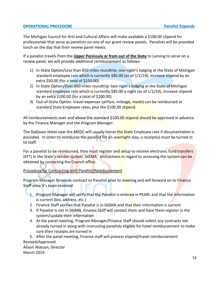# **OPERATIONAL PROCEDURE Panelist Stipends Panelist Stipends**

The Michigan Council for Arts and Cultural Affairs will make available a \$100.00 stipend for professionals that serve as panelists on one of our grant review panels. Panelists will be provided lunch on the day that their review panel meets.

If a panelist travels from the **Upper Peninsula or from out of the State** to Lansing to serve on a review panel, we will provide additional reimbursement as follows:

- 1) In-State Option/Less than 850 miles roundtrip: one night's lodging at the State of Michigan standard employee rate which is currently \$85.00 (as of 1/1/19), increase stipend by an extra \$50.00 (for a total of \$150.00)
- 2) In-State Option/Over 850 miles roundtrip: two night's lodging at the State of Michigan standard employee rate which is currently \$85.00 a night (as of 1/1/19), increase stipend by an extra \$100.00 (for a total of \$200.00)
- 3) Out-of-State Option: travel expenses (airfare, mileage, meals) can be reimbursed at standard State Employee rates, plus the \$100.00 stipend.

All reimbursements over and above the standard \$100.00 stipend should be approved in advance by the Finance Manager and the Program Manager.

The Radisson Hotel near the MEDC will usually honor the State Employee rate if documentation is provided. In order to reimburse the panelist for an overnight stay, a receipt(s) must be turned in to staff.

For a panelist to be reimbursed, they must register and setup to receive electronic fund transfers (EFT) in the State's vendor system, SIGMA. Instructions in regard to accessing the system can be obtained by contacting the Council office.

# Procedure for Contracting with Panelist/Reimbursement

Program Manager forwards contract to Panelist prior to meeting and will forward on to Finance Staff once it's been received

- 1. Program Manager will verify that the Panelist is entered in PEARL and that the information is current (bio, address, etc.)
- 2. Finance Staff verifies that Panelist is in SIGMA and that their information is current
- 3. If Panelist is not in SIGMA, Finance Staff will contact them and have them register in the system/update their information
- 4. At the panel meeting, Program Manager/Finance Staff should collect any contracts not already turned in along with instructing panelists eligible for hotel reimbursement to make sure their receipts are turned in

5. After the panel meeting, Finance staff will process stipend/travel reimbursement Revised/Approved Alison Watson, Director March 2019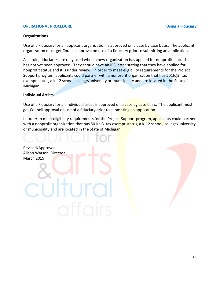#### **OPERATIONAL PROCEDURE EXECUTE:** The state of the state of the state of the Using a Fiduciary

#### **Organizations**

Use of a Fiduciary for an applicant organization is approved on a case by case basis. The applicant organization must get Council approval on use of a fiduciary prior to submitting an application.

As a rule, fiduciaries are only used when a new organization has applied for nonprofit status but has not yet been approved. They should have an IRS letter stating that they have applied for nonprofit status and it is under review. In order to meet eligibility requirements for the Project Support program, applicants could partner with a nonprofit organization that has 501(c)3 tax exempt status, a K-12 school, college/university or municipality and are located in the State of Michigan.

#### **Individual Artists**

Use of a Fiduciary for an individual artist is approved on a case by case basis. The applicant must get Council approval on use of a fiduciary prior to submitting an application

In order to meet eligibility requirements for the Project Support program, applicants could partner with a nonprofit organization that has 501(c)3 tax exempt status, a K-12 school, college/university or municipality and are located in the State of Michigan.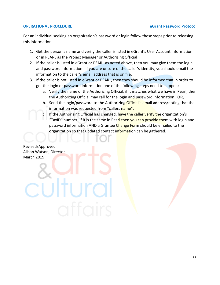#### **OPERATIONAL PROCEDURE eGrant Password Protocol**

For an individual seeking an organization's password or login follow these steps prior to releasing this information:

- 1. Get the person's name and verify the caller is listed in eGrant's User Account Information or in PEARL as the Project Manager or Authorizing Official
- 2. If the caller is listed in eGrant or PEARL as noted above, then you may give them the login and password information. If you are unsure of the caller's identity, you should email the information to the caller's email address that is on file.
- 3. If the caller is not listed in eGrant or PEARL, then they should be informed that in order to get the login or password information one of the following steps need to happen:
	- a. Verify the name of the Authorizing Official, if it matches what we have in Pearl, then the Authorizing Official may call for the login and password information. **OR,**
	- b. Send the login/password to the Authorizing Official's email address/noting that the information was requested from "callers name".
	- c. If the Authorizing Official has changed, have the caller verify the organization's "TaxID" number. If it is the same in Pearl then you can provide them with login and password information AND a Grantee Change Form should be emailed to the organization so that updated contact information can be gathered.